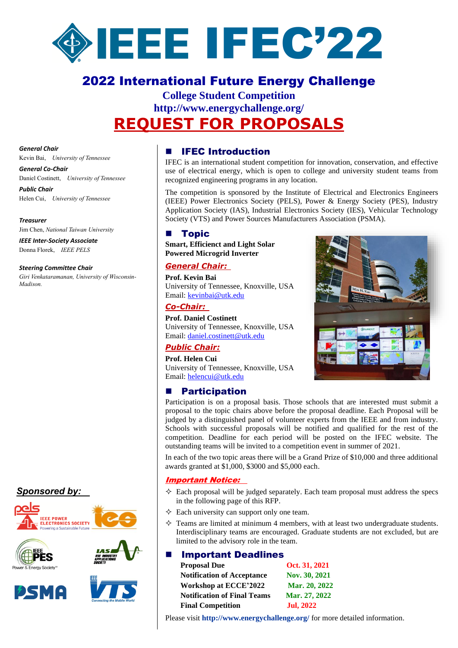

# 2022 International Future Energy Challenge

# **College Student Competition http://www.energychallenge.org/ [REQUEST FOR PROPOSALS](http://www.ieee-pels.org/education/ifec)**

*General Chair* Kevin Bai, *University of Tennessee*

## *General Co-Chair*

Daniel Costinett, *University of Tennessee Public Chair*

Helen Cui, *University of Tennessee*

*Treasurer* Jim Chen, *National Taiwan University*

*IEEE Inter-Society Associate* Donna Florek, *IEEE PELS*

#### *Steering Committee Chair*

*Giri Venkataramanan, University of Wisconsin-Madison.*

# *Sponsored by:*











#### **IFEC Introduction**

IFEC is an international student competition for innovation, conservation, and effective use of electrical energy, which is open to college and university student teams from recognized engineering programs in any location.

The competition is sponsored by the Institute of Electrical and Electronics Engineers (IEEE) Power Electronics Society (PELS), Power & Energy Society (PES), Industry Application Society (IAS), Industrial Electronics Society (IES), Vehicular Technology Society (VTS) and Power Sources Manufacturers Association (PSMA).

#### ■ Topic

**Smart, Efficienct and Light Solar Powered Microgrid Inverter**

#### *General Chair:*

**Prof. Kevin Bai** University of Tennessee, Knoxville, USA Email: [kevinbai@utk.edu](mailto:kevinbai@utk.edu)

#### *Co-Chair:*

**Prof. Daniel Costinett** University of Tennessee, Knoxville, USA Email: [daniel.costinett@utk.edu](mailto:daniel.costinett@utk.edu)

#### *Public Chair:*

**Prof. Helen Cui** University of Tennessee, Knoxville, USA Email: [helencui@utk.edu](mailto:helencui@utk.edu)

### **Participation**

Participation is on a proposal basis. Those schools that are interested must submit a proposal to the topic chairs above before the proposal deadline. Each Proposal will be judged by a distinguished panel of volunteer experts from the IEEE and from industry. Schools with successful proposals will be notified and qualified for the rest of the competition. Deadline for each period will be posted on the IFEC website. The outstanding teams will be invited to a competition event in summer of 2021.

In each of the two topic areas there will be a Grand Prize of \$10,000 and three additional awards granted at \$1,000, \$3000 and \$5,000 each.

#### Important Notice:

- $\Diamond$  Each proposal will be judged separately. Each team proposal must address the specs in the following page of this RFP.
- $\Diamond$  Each university can support only one team.
- $\Diamond$  Teams are limited at minimum 4 members, with at least two undergraduate students. Interdisciplinary teams are encouraged. Graduate students are not excluded, but are limited to the advisory role in the team.

#### **Important Deadlines**

| <b>Proposal Due</b>                | Oct. 31, 2021    |
|------------------------------------|------------------|
| <b>Notification of Acceptance</b>  | Nov. 30, 2021    |
| Workshop at ECCE'2022              | Mar. 20, 2022    |
| <b>Notification of Final Teams</b> | Mar. 27, 2022    |
| <b>Final Competition</b>           | <b>Jul, 2022</b> |



Please visit **http://www.energychallenge.org/** for more detailed information.